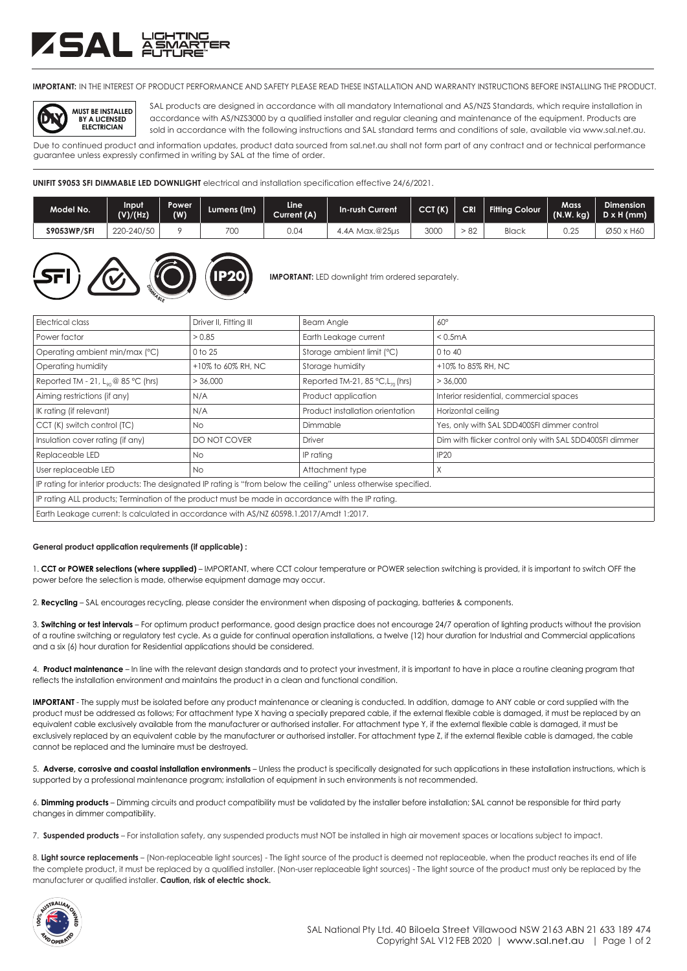## ZSAL ASM

**IMPORTANT:** IN THE INTEREST OF PRODUCT PERFORMANCE AND SAFETY PLEASE READ THESE INSTALLATION AND WARRANTY INSTRUCTIONS BEFORE INSTALLING THE PRODUCT.



SAL products are designed in accordance with all mandatory International and AS/NZS Standards, which require installation in accordance with AS/NZS3000 by a qualified installer and regular cleaning and maintenance of the equipment. Products are sold in accordance with the following instructions and SAL standard terms and conditions of sale, available via www.sal.net.au.

Due to continued product and information updates, product data sourced from sal.net.au shall not form part of any contract and or technical performance guarantee unless expressly confirmed in writing by SAL at the time of order.

**UNIFIT S9053 SFI DIMMABLE LED DOWNLIGHT** electrical and installation specification effective 24/6/2021.

| Model No.          | Input<br>(V)/(Hz) | Power<br>(W) | Lumens (Im) | Line<br>Current (A) | <b>In-rush Current</b> | CCT(K) | <b>CRI</b> | <b>Fitting Colour</b> | Mass<br>(N.W. kg) | <b>Dimension</b><br>$D \times H$ (mm) |
|--------------------|-------------------|--------------|-------------|---------------------|------------------------|--------|------------|-----------------------|-------------------|---------------------------------------|
| <b>S9053WP/SFI</b> | 220-240/50        |              | 700         | 0.04                | Max.@25us.<br>4.4A ^   | 3000   | -82        | Black                 | つつち<br>U.ZJ       | Ø50 x H60                             |



**IMPORTANT:** LED downlight trim ordered separately.

| Electrical class                                                                                                  | Driver II, Fitting III | <b>Beam Angle</b>                               | $60^\circ$                                              |  |  |  |
|-------------------------------------------------------------------------------------------------------------------|------------------------|-------------------------------------------------|---------------------------------------------------------|--|--|--|
| Power factor                                                                                                      | > 0.85                 | Earth Leakage current                           | < 0.5mA                                                 |  |  |  |
| Operating ambient min/max (°C)                                                                                    | 0 to 25                | Storage ambient limit (°C)                      | 0 to 40                                                 |  |  |  |
| Operating humidity                                                                                                | +10% to 60% RH, NC     | Storage humidity                                | +10% to 85% RH, NC                                      |  |  |  |
| Reported TM - 21, $L_{on}$ @ 85 °C (hrs)                                                                          | > 36,000               | Reported TM-21, 85 $°C$ , L <sub>70</sub> (hrs) | > 36,000                                                |  |  |  |
| Aiming restrictions (if any)                                                                                      | N/A                    | Product application                             | Interior residential, commercial spaces                 |  |  |  |
| IK rating (if relevant)                                                                                           | N/A                    | Product installation orientation                | Horizontal ceiling                                      |  |  |  |
| CCT (K) switch control (TC)                                                                                       | No.                    | Dimmable                                        | Yes, only with SAL SDD400SFI dimmer control             |  |  |  |
| Insulation cover rating (if any)                                                                                  | DO NOT COVER           | <b>Driver</b>                                   | Dim with flicker control only with SAL SDD400SFI dimmer |  |  |  |
| Replaceable LED                                                                                                   | <b>No</b>              | IP rating                                       | <b>IP20</b>                                             |  |  |  |
| User replaceable LED                                                                                              | No.                    | Attachment type                                 | X                                                       |  |  |  |
| IP rating for interior products: The designated IP rating is "from below the ceiling" unless otherwise specified. |                        |                                                 |                                                         |  |  |  |
| IP rating ALL products; Termination of the product must be made in accordance with the IP rating.                 |                        |                                                 |                                                         |  |  |  |
| Earth Leakage current: Is calculated in accordance with AS/NZ 60598.1.2017/Amdt 1:2017.                           |                        |                                                 |                                                         |  |  |  |

### **General product application requirements (if applicable) :**

1. **CCT or POWER selections (where supplied)** – IMPORTANT, where CCT colour temperature or POWER selection switching is provided, it is important to switch OFF the power before the selection is made, otherwise equipment damage may occur.

2. **Recycling** – SAL encourages recycling, please consider the environment when disposing of packaging, batteries & components.

3. **Switching or test intervals** – For optimum product performance, good design practice does not encourage 24/7 operation of lighting products without the provision of a routine switching or regulatory test cycle. As a guide for continual operation installations, a twelve (12) hour duration for Industrial and Commercial applications and a six (6) hour duration for Residential applications should be considered.

4. **Product maintenance** – In line with the relevant design standards and to protect your investment, it is important to have in place a routine cleaning program that reflects the installation environment and maintains the product in a clean and functional condition.

**IMPORTANT** - The supply must be isolated before any product maintenance or cleaning is conducted. In addition, damage to ANY cable or cord supplied with the product must be addressed as follows; For attachment type X having a specially prepared cable, if the external flexible cable is damaged, it must be replaced by an equivalent cable exclusively available from the manufacturer or authorised installer. For attachment type Y, if the external flexible cable is damaged, it must be exclusively replaced by an equivalent cable by the manufacturer or authorised installer. For attachment type Z, if the external flexible cable is damaged, the cable cannot be replaced and the luminaire must be destroyed.

5. **Adverse, corrosive and coastal installation environments** – Unless the product is specifically designated for such applications in these installation instructions, which is supported by a professional maintenance program; installation of equipment in such environments is not recommended.

6. **Dimming products** – Dimming circuits and product compatibility must be validated by the installer before installation; SAL cannot be responsible for third party changes in dimmer compatibility.

7. **Suspended products** – For installation safety, any suspended products must NOT be installed in high air movement spaces or locations subject to impact.

8. Light source replacements - (Non-replaceable light sources) - The light source of the product is deemed not replaceable, when the product reaches its end of life the complete product, it must be replaced by a qualified installer. (Non-user replaceable light sources) - The light source of the product must only be replaced by the manufacturer or qualified installer. **Caution, risk of electric shock.**